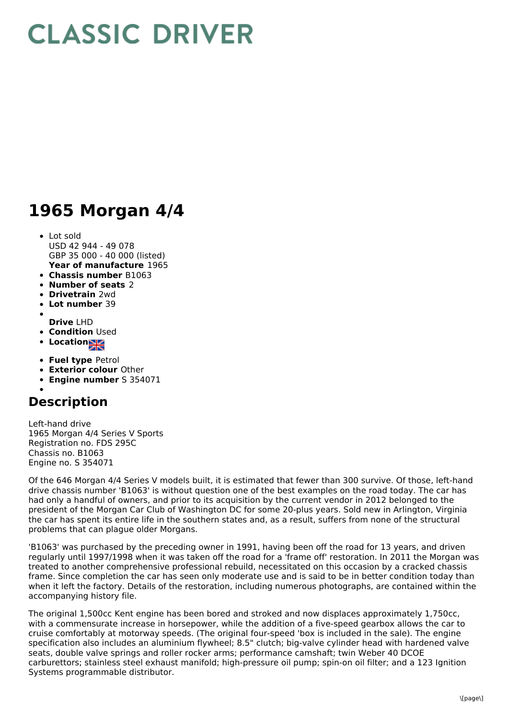## **CLASSIC DRIVER**

## **1965 Morgan 4/4**

- **Year of manufacture** 1965 Lot sold USD 42 944 - 49 078 GBP 35 000 - 40 000 (listed)
- **Chassis number** B1063
- **Number of seats** 2
- **Drivetrain** 2wd
- **Lot number** 39
- 
- **Drive** LHD
- **Condition Used**
- Location<sub>al</sub>
- **Fuel type** Petrol
- **Exterior colour** Other
- **Engine number** S 354071

## **Description**

Left-hand drive 1965 Morgan 4/4 Series V Sports Registration no. FDS 295C Chassis no. B1063 Engine no. S 354071

Of the 646 Morgan 4/4 Series V models built, it is estimated that fewer than 300 survive. Of those, left-hand drive chassis number 'B1063' is without question one of the best examples on the road today. The car has had only a handful of owners, and prior to its acquisition by the current vendor in 2012 belonged to the president of the Morgan Car Club of Washington DC for some 20-plus years. Sold new in Arlington, Virginia the car has spent its entire life in the southern states and, as a result, suffers from none of the structural problems that can plague older Morgans.

'B1063' was purchased by the preceding owner in 1991, having been off the road for 13 years, and driven regularly until 1997/1998 when it was taken off the road for a 'frame off' restoration. In 2011 the Morgan was treated to another comprehensive professional rebuild, necessitated on this occasion by a cracked chassis frame. Since completion the car has seen only moderate use and is said to be in better condition today than when it left the factory. Details of the restoration, including numerous photographs, are contained within the accompanying history file.

The original 1,500cc Kent engine has been bored and stroked and now displaces approximately 1,750cc, with a commensurate increase in horsepower, while the addition of a five-speed gearbox allows the car to cruise comfortably at motorway speeds. (The original four-speed 'box is included in the sale). The engine specification also includes an aluminium flywheel; 8.5" clutch; big-valve cylinder head with hardened valve seats, double valve springs and roller rocker arms; performance camshaft; twin Weber 40 DCOE carburettors; stainless steel exhaust manifold; high-pressure oil pump; spin-on oil filter; and a 123 Ignition Systems programmable distributor.